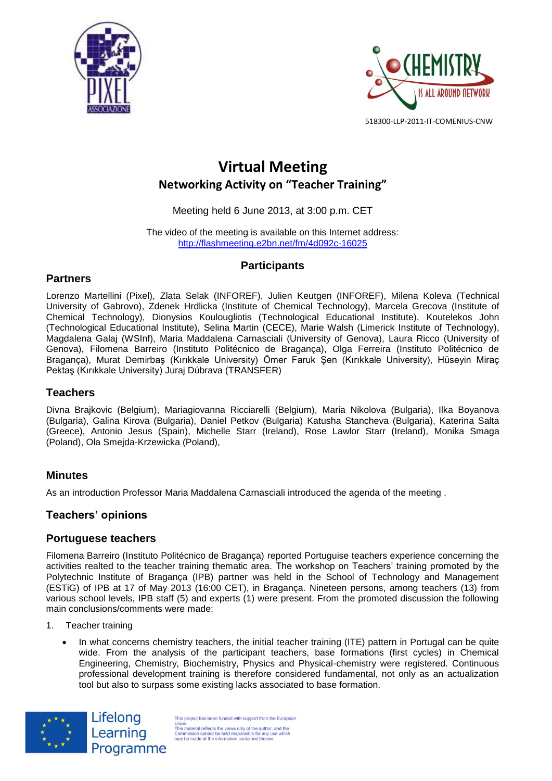



# **Virtual Meeting Networking Activity on "Teacher Training"**

### Meeting held 6 June 2013, at 3:00 p.m. CET

The video of the meeting is available on this Internet address: <http://flashmeeting.e2bn.net/fm/4d092c-16025>

# **Participants**

# **Partners**

Lorenzo Martellini (Pixel), Zlata Selak (INFOREF), Julien Keutgen (INFOREF), Milena Koleva (Technical University of Gabrovo), Zdenek Hrdlicka (Institute of Chemical Technology), Marcela Grecova (Institute of Chemical Technology), Dionysios Koulougliotis (Technological Educational Institute), Koutelekos John (Technological Educational Institute), Selina Martin (CECE), Marie Walsh (Limerick Institute of Technology), Magdalena Galaj (WSInf), Maria Maddalena Carnasciali (University of Genova), Laura Ricco (University of Genova), Filomena Barreiro (Instituto Politécnico de Bragança), Olga Ferreira (Instituto Politécnico de Bragança), Murat Demirbaş (Kırıkkale University) Ömer Faruk Şen (Kırıkkale University), Hüseyin Miraç Pektaş (Kırıkkale University) Juraj Dúbrava (TRANSFER)

# **Teachers**

Divna Brajkovic (Belgium), Mariagiovanna Ricciarelli (Belgium), Maria Nikolova (Bulgaria), Ilka Boyanova (Bulgaria), Galina Kirova (Bulgaria), Daniel Petkov (Bulgaria) Katusha Stancheva (Bulgaria), Katerina Salta (Greece), Antonio Jesus (Spain), Michelle Starr (Ireland), Rose Lawlor Starr (Ireland), Monika Smaga (Poland), Ola Smejda-Krzewicka (Poland),

# **Minutes**

As an introduction Professor Maria Maddalena Carnasciali introduced the agenda of the meeting .

# **Teachers' opinions**

### **Portuguese teachers**

Filomena Barreiro (Instituto Politécnico de Bragança) reported Portuguise teachers experience concerning the activities realted to the teacher training thematic area. The workshop on Teachers' training promoted by the Polytechnic Institute of Bragança (IPB) partner was held in the School of Technology and Management (ESTiG) of IPB at 17 of May 2013 (16:00 CET), in Bragança. Nineteen persons, among teachers (13) from various school levels, IPB staff (5) and experts (1) were present. From the promoted discussion the following main conclusions/comments were made:

1. Teacher training

Lifelong

Learning

Programme

 In what concerns chemistry teachers, the initial teacher training (ITE) pattern in Portugal can be quite wide. From the analysis of the participant teachers, base formations (first cycles) in Chemical Engineering, Chemistry, Biochemistry, Physics and Physical-chemistry were registered. Continuous professional development training is therefore considered fundamental, not only as an actualization tool but also to surpass some existing lacks associated to base formation.



This project has been funded with support from the European Union.<br>This material reflects the views only of the author, and the<br>Commission cannot be held responsible for any use which<br>may be made of the information contained therein.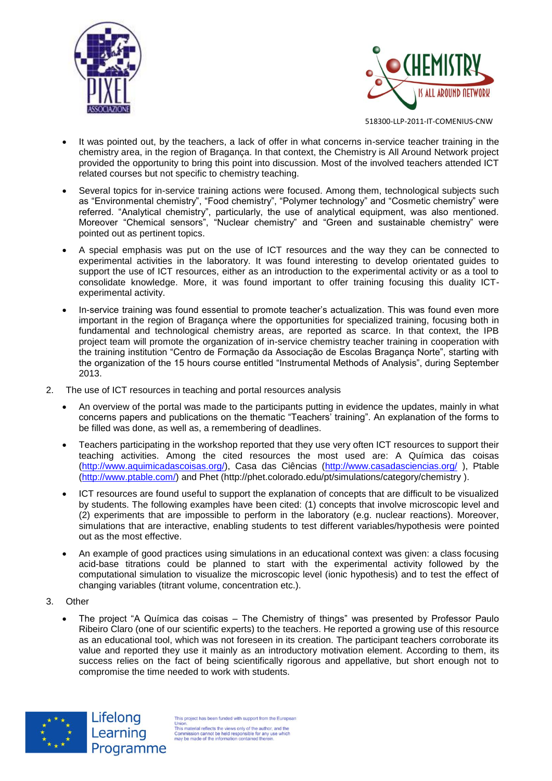



- It was pointed out, by the teachers, a lack of offer in what concerns in-service teacher training in the chemistry area, in the region of Bragança. In that context, the Chemistry is All Around Network project provided the opportunity to bring this point into discussion. Most of the involved teachers attended ICT related courses but not specific to chemistry teaching.
- Several topics for in-service training actions were focused. Among them, technological subjects such as "Environmental chemistry", "Food chemistry", "Polymer technology" and "Cosmetic chemistry" were referred. "Analytical chemistry", particularly, the use of analytical equipment, was also mentioned. Moreover "Chemical sensors", "Nuclear chemistry" and "Green and sustainable chemistry" were pointed out as pertinent topics.
- A special emphasis was put on the use of ICT resources and the way they can be connected to experimental activities in the laboratory. It was found interesting to develop orientated guides to support the use of ICT resources, either as an introduction to the experimental activity or as a tool to consolidate knowledge. More, it was found important to offer training focusing this duality ICTexperimental activity.
- In-service training was found essential to promote teacher's actualization. This was found even more important in the region of Bragança where the opportunities for specialized training, focusing both in fundamental and technological chemistry areas, are reported as scarce. In that context, the IPB project team will promote the organization of in-service chemistry teacher training in cooperation with the training institution "Centro de Formação da Associação de Escolas Bragança Norte", starting with the organization of the 15 hours course entitled "Instrumental Methods of Analysis", during September 2013.
- 2. The use of ICT resources in teaching and portal resources analysis
	- An overview of the portal was made to the participants putting in evidence the updates, mainly in what concerns papers and publications on the thematic "Teachers' training". An explanation of the forms to be filled was done, as well as, a remembering of deadlines.
	- Teachers participating in the workshop reported that they use very often ICT resources to support their teaching activities. Among the cited resources the most used are: A Química das coisas [\(http://www.aquimicadascoisas.org/\)](http://www.aquimicadascoisas.org/), Casa das Ciências [\(http://www.casadasciencias.org/](http://www.casadasciencias.org/) ), Ptable [\(http://www.ptable.com/\)](http://www.ptable.com/) and Phet [\(http://phet.colorado.edu/pt/simulations/category/chemistry](http://phet.colorado.edu/pt/simulations/category/chemistry) ).
	- ICT resources are found useful to support the explanation of concepts that are difficult to be visualized by students. The following examples have been cited: (1) concepts that involve microscopic level and (2) experiments that are impossible to perform in the laboratory (e.g. nuclear reactions). Moreover, simulations that are interactive, enabling students to test different variables/hypothesis were pointed out as the most effective.
	- An example of good practices using simulations in an educational context was given: a class focusing acid-base titrations could be planned to start with the experimental activity followed by the computational simulation to visualize the microscopic level (ionic hypothesis) and to test the effect of changing variables (titrant volume, concentration etc.).
- 3. Other
	- The project "A Química das coisas The Chemistry of things" was presented by Professor Paulo Ribeiro Claro (one of our scientific experts) to the teachers. He reported a growing use of this resource as an educational tool, which was not foreseen in its creation. The participant teachers corroborate its value and reported they use it mainly as an introductory motivation element. According to them, its success relies on the fact of being scientifically rigorous and appellative, but short enough not to compromise the time needed to work with students.



Lifelong Learning Programme

This project has been funded with support from the Europe Union.<br>This material reflects the views only of the author, and the<br>Commission cannot be held responsible for any use which<br>may be made of the information contained therein.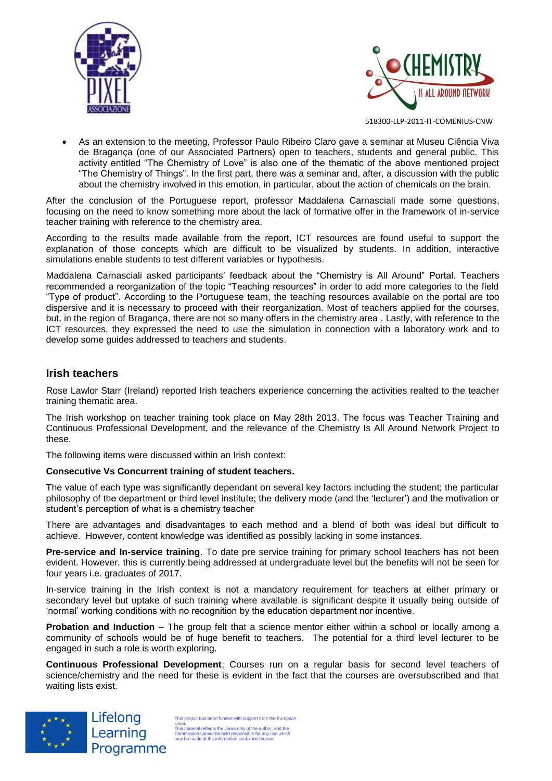



 As an extension to the meeting, Professor Paulo Ribeiro Claro gave a seminar at Museu Ciência Viva de Bragança (one of our Associated Partners) open to teachers, students and general public. This activity entitled "The Chemistry of Love" is also one of the thematic of the above mentioned project "The Chemistry of Things". In the first part, there was a seminar and, after, a discussion with the public about the chemistry involved in this emotion, in particular, about the action of chemicals on the brain.

After the conclusion of the Portuguese report, professor Maddalena Carnasciali made some questions, focusing on the need to know something more about the lack of formative offer in the framework of in-service teacher training with reference to the chemistry area.

According to the results made available from the report, ICT resources are found useful to support the explanation of those concepts which are difficult to be visualized by students. In addition, interactive simulations enable students to test different variables or hypothesis.

Maddalena Carnasciali asked participants' feedback about the "Chemistry is All Around" Portal. Teachers recommended a reorganization of the topic "Teaching resources" in order to add more categories to the field "Type of product". According to the Portuguese team, the teaching resources available on the portal are too dispersive and it is necessary to proceed with their reorganization. Most of teachers applied for the courses, but, in the region of Bragança, there are not so many offers in the chemistry area . Lastly, with reference to the ICT resources, they expressed the need to use the simulation in connection with a laboratory work and to develop some guides addressed to teachers and students.

# **Irish teachers**

Rose Lawlor Starr (Ireland) reported Irish teachers experience concerning the activities realted to the teacher training thematic area.

The Irish workshop on teacher training took place on May 28th 2013. The focus was Teacher Training and Continuous Professional Development, and the relevance of the Chemistry Is All Around Network Project to these.

The following items were discussed within an Irish context:

#### **Consecutive Vs Concurrent training of student teachers.**

The value of each type was significantly dependant on several key factors including the student; the particular philosophy of the department or third level institute; the delivery mode (and the 'lecturer') and the motivation or student's perception of what is a chemistry teacher

There are advantages and disadvantages to each method and a blend of both was ideal but difficult to achieve. However, content knowledge was identified as possibly lacking in some instances.

**Pre-service and In-service training**. To date pre service training for primary school teachers has not been evident. However, this is currently being addressed at undergraduate level but the benefits will not be seen for four years i.e. graduates of 2017.

In-service training in the Irish context is not a mandatory requirement for teachers at either primary or secondary level but uptake of such training where available is significant despite it usually being outside of 'normal' working conditions with no recognition by the education department nor incentive.

**Probation and Induction** – The group felt that a science mentor either within a school or locally among a community of schools would be of huge benefit to teachers. The potential for a third level lecturer to be engaged in such a role is worth exploring.

**Continuous Professional Development**; Courses run on a regular basis for second level teachers of science/chemistry and the need for these is evident in the fact that the courses are oversubscribed and that waiting lists exist.



Lifelong Learning Programme

This project has been funded with support from the European This project nas deen inneed with support nominale competent<br>This material reflects the views only of the author, and the<br>Commission cannot be held responsible for any use which<br>may be made of the information contained the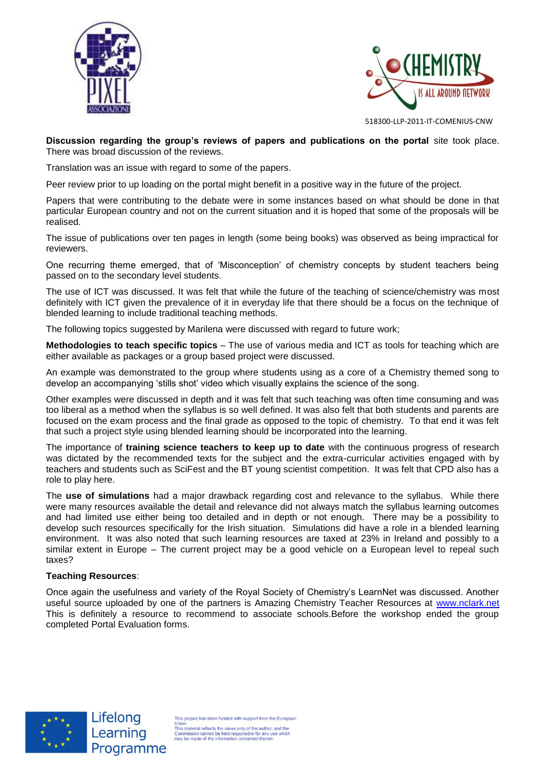



**Discussion regarding the group's reviews of papers and publications on the portal** site took place. There was broad discussion of the reviews.

Translation was an issue with regard to some of the papers.

Peer review prior to up loading on the portal might benefit in a positive way in the future of the project.

Papers that were contributing to the debate were in some instances based on what should be done in that particular European country and not on the current situation and it is hoped that some of the proposals will be realised.

The issue of publications over ten pages in length (some being books) was observed as being impractical for reviewers.

One recurring theme emerged, that of 'Misconception' of chemistry concepts by student teachers being passed on to the secondary level students.

The use of ICT was discussed. It was felt that while the future of the teaching of science/chemistry was most definitely with ICT given the prevalence of it in everyday life that there should be a focus on the technique of blended learning to include traditional teaching methods.

The following topics suggested by Marilena were discussed with regard to future work;

**Methodologies to teach specific topics** – The use of various media and ICT as tools for teaching which are either available as packages or a group based project were discussed.

An example was demonstrated to the group where students using as a core of a Chemistry themed song to develop an accompanying 'stills shot' video which visually explains the science of the song.

Other examples were discussed in depth and it was felt that such teaching was often time consuming and was too liberal as a method when the syllabus is so well defined. It was also felt that both students and parents are focused on the exam process and the final grade as opposed to the topic of chemistry. To that end it was felt that such a project style using blended learning should be incorporated into the learning.

The importance of **training science teachers to keep up to date** with the continuous progress of research was dictated by the recommended texts for the subject and the extra-curricular activities engaged with by teachers and students such as SciFest and the BT young scientist competition. It was felt that CPD also has a role to play here.

The **use of simulations** had a major drawback regarding cost and relevance to the syllabus. While there were many resources available the detail and relevance did not always match the syllabus learning outcomes and had limited use either being too detailed and in depth or not enough. There may be a possibility to develop such resources specifically for the Irish situation. Simulations did have a role in a blended learning environment. It was also noted that such learning resources are taxed at 23% in Ireland and possibly to a similar extent in Europe – The current project may be a good vehicle on a European level to repeal such taxes?

#### **Teaching Resources**:

Once again the usefulness and variety of the Royal Society of Chemistry's LearnNet was discussed. Another useful source uploaded by one of the partners is Amazing Chemistry Teacher Resources at [www.nclark.net](http://www.nclark.net/) This is definitely a resource to recommend to associate schools.Before the workshop ended the group completed Portal Evaluation forms.



Lifelong Learning Programme

This project has been funded with support from the Europe onion.<br>This material reflects the views only of the author, and the<br>Commission cannot be held responsible for any use which<br>may be made of the information contained therein.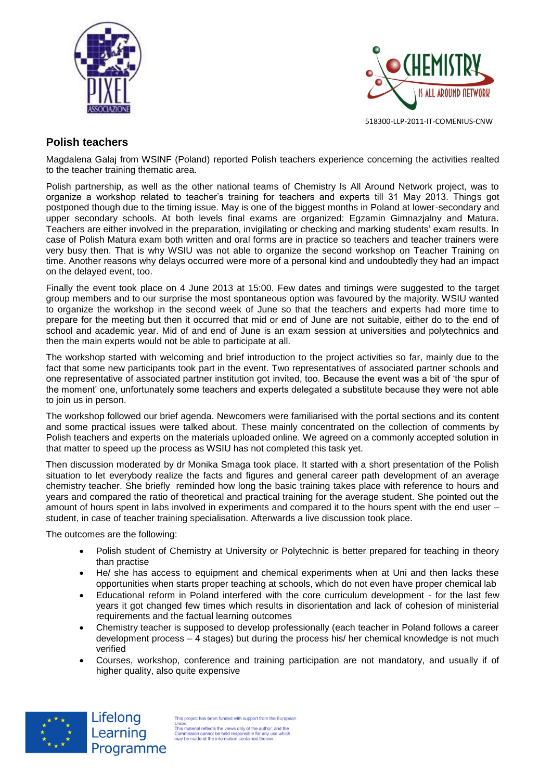



# **Polish teachers**

Magdalena Galaj from WSINF (Poland) reported Polish teachers experience concerning the activities realted to the teacher training thematic area.

Polish partnership, as well as the other national teams of Chemistry Is All Around Network project, was to organize a workshop related to teacher's training for teachers and experts till 31 May 2013. Things got postponed though due to the timing issue. May is one of the biggest months in Poland at lower-secondary and upper secondary schools. At both levels final exams are organized: Egzamin Gimnazjalny and Matura. Teachers are either involved in the preparation, invigilating or checking and marking students' exam results. In case of Polish Matura exam both written and oral forms are in practice so teachers and teacher trainers were very busy then. That is why WSIU was not able to organize the second workshop on Teacher Training on time. Another reasons why delays occurred were more of a personal kind and undoubtedly they had an impact on the delayed event, too.

Finally the event took place on 4 June 2013 at 15:00. Few dates and timings were suggested to the target group members and to our surprise the most spontaneous option was favoured by the majority. WSIU wanted to organize the workshop in the second week of June so that the teachers and experts had more time to prepare for the meeting but then it occurred that mid or end of June are not suitable, either do to the end of school and academic year. Mid of and end of June is an exam session at universities and polytechnics and then the main experts would not be able to participate at all.

The workshop started with welcoming and brief introduction to the project activities so far, mainly due to the fact that some new participants took part in the event. Two representatives of associated partner schools and one representative of associated partner institution got invited, too. Because the event was a bit of 'the spur of the moment' one, unfortunately some teachers and experts delegated a substitute because they were not able to join us in person.

The workshop followed our brief agenda. Newcomers were familiarised with the portal sections and its content and some practical issues were talked about. These mainly concentrated on the collection of comments by Polish teachers and experts on the materials uploaded online. We agreed on a commonly accepted solution in that matter to speed up the process as WSIU has not completed this task yet.

Then discussion moderated by dr Monika Smaga took place. It started with a short presentation of the Polish situation to let everybody realize the facts and figures and general career path development of an average chemistry teacher. She briefly reminded how long the basic training takes place with reference to hours and years and compared the ratio of theoretical and practical training for the average student. She pointed out the amount of hours spent in labs involved in experiments and compared it to the hours spent with the end user – student, in case of teacher training specialisation. Afterwards a live discussion took place.

The outcomes are the following:

Lifelong

Learning

Programme

- Polish student of Chemistry at University or Polytechnic is better prepared for teaching in theory than practise
- He/ she has access to equipment and chemical experiments when at Uni and then lacks these opportunities when starts proper teaching at schools, which do not even have proper chemical lab
- Educational reform in Poland interfered with the core curriculum development for the last few years it got changed few times which results in disorientation and lack of cohesion of ministerial requirements and the factual learning outcomes
- Chemistry teacher is supposed to develop professionally (each teacher in Poland follows a career development process – 4 stages) but during the process his/ her chemical knowledge is not much verified
- Courses, workshop, conference and training participation are not mandatory, and usually if of higher quality, also quite expensive



This project has been funded with support from the Europear Union.<br>This material reflects the views only of the author, and the<br>Commission cannot be held responsible for any use which<br>may be made of the information contained therein.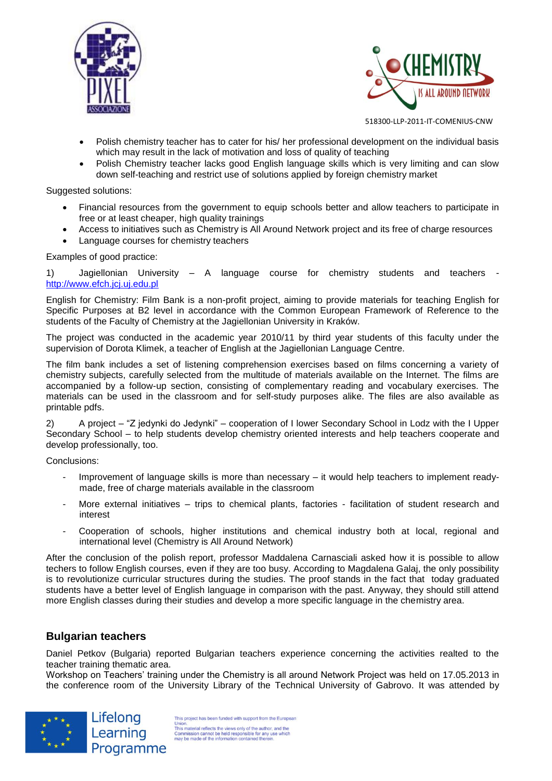



- Polish chemistry teacher has to cater for his/ her professional development on the individual basis which may result in the lack of motivation and loss of quality of teaching
- Polish Chemistry teacher lacks good English language skills which is very limiting and can slow down self-teaching and restrict use of solutions applied by foreign chemistry market

#### Suggested solutions:

- Financial resources from the government to equip schools better and allow teachers to participate in free or at least cheaper, high quality trainings
- Access to initiatives such as Chemistry is All Around Network project and its free of charge resources
- Language courses for chemistry teachers

#### Examples of good practice:

1) Jagiellonian University – A language course for chemistry students and teachers [http://www.efch.jcj.uj.edu.pl](http://www.efch.jcj.uj.edu.pl/)

English for Chemistry: Film Bank is a non-profit project, aiming to provide materials for teaching English for Specific Purposes at B2 level in accordance with the Common European Framework of Reference to the students of the Faculty of Chemistry at the Jagiellonian University in Kraków.

The project was conducted in the academic year 2010/11 by third year students of this faculty under the supervision of Dorota Klimek, a teacher of English at the Jagiellonian Language Centre.

The film bank includes a set of listening comprehension exercises based on films concerning a variety of chemistry subjects, carefully selected from the multitude of materials available on the Internet. The films are accompanied by a follow-up section, consisting of complementary reading and vocabulary exercises. The materials can be used in the classroom and for self-study purposes alike. The files are also available as printable pdfs.

2) A project – "Z jedynki do Jedynki" – cooperation of I lower Secondary School in Lodz with the I Upper Secondary School – to help students develop chemistry oriented interests and help teachers cooperate and develop professionally, too.

Conclusions:

- Improvement of language skills is more than necessary it would help teachers to implement readymade, free of charge materials available in the classroom
- More external initiatives trips to chemical plants, factories facilitation of student research and interest
- Cooperation of schools, higher institutions and chemical industry both at local, regional and international level (Chemistry is All Around Network)

After the conclusion of the polish report, professor Maddalena Carnasciali asked how it is possible to allow techers to follow English courses, even if they are too busy. According to Magdalena Galaj, the only possibility is to revolutionize curricular structures during the studies. The proof stands in the fact that today graduated students have a better level of English language in comparison with the past. Anyway, they should still attend more English classes during their studies and develop a more specific language in the chemistry area.

### **Bulgarian teachers**

Daniel Petkov (Bulgaria) reported Bulgarian teachers experience concerning the activities realted to the teacher training thematic area.

Workshop on Teachers' training under the Chemistry is all around Network Project was held on 17.05.2013 in the conference room of the University Library of the Technical University of Gabrovo. It was attended by



This project has been funded with support from the European This project nas deen inneed with support nominale competent<br>This material reflects the views only of the author, and the<br>Commission cannot be held responsible for any use which<br>may be made of the information contained the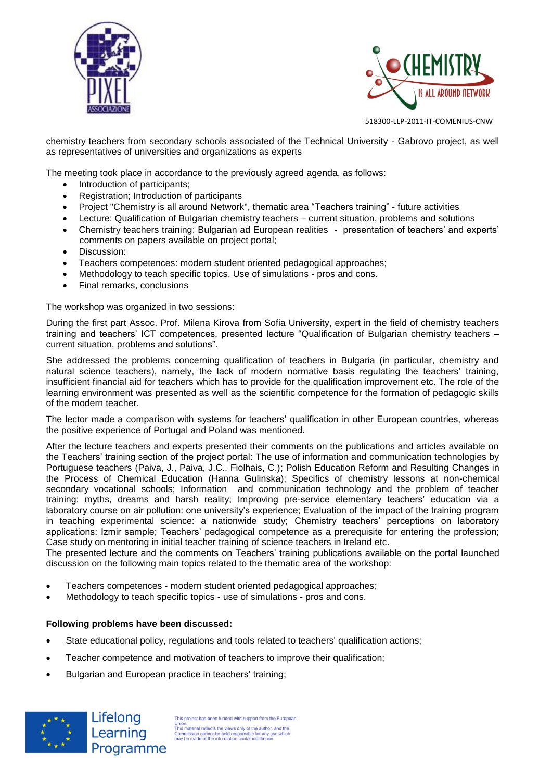



chemistry teachers from secondary schools associated of the Technical University - Gabrovo project, as well as representatives of universities and organizations as experts

The meeting took place in accordance to the previously agreed agenda, as follows:

- Introduction of participants;
- Registration; Introduction of participants
- Project "Chemistry is all around Network", thematic area "Teachers training" future activities
- Lecture: Qualification of Bulgarian chemistry teachers current situation, problems and solutions
- Chemistry teachers training: Bulgarian ad European realities presentation of teachers' and experts' comments on papers available on project portal;
- **•** Discussion:
- Teachers competences: modern student oriented pedagogical approaches;
- Methodology to teach specific topics. Use of simulations pros and cons.
- Final remarks, conclusions

The workshop was organized in two sessions:

During the first part Assoc. Prof. Milena Kirova from Sofia University, expert in the field of chemistry teachers training and teachers' ICT competences, presented lecture "Qualification of Bulgarian chemistry teachers – current situation, problems and solutions".

She addressed the problems concerning qualification of teachers in Bulgaria (in particular, chemistry and natural science teachers), namely, the lack of modern normative basis regulating the teachers' training, insufficient financial aid for teachers which has to provide for the qualification improvement etc. The role of the learning environment was presented as well as the scientific competence for the formation of pedagogic skills of the modern teacher.

The lector made a comparison with systems for teachers' qualification in other European countries, whereas the positive experience of Portugal and Poland was mentioned.

After the lecture teachers and experts presented their comments on the publications and articles available on the Teachers' training section of the project portal: The use of information and communication technologies by Portuguese teachers (Paiva, J., Paiva, J.C., Fiolhais, C.); Polish Education Reform and Resulting Changes in the Process of Chemical Education (Hanna Gulinska); Specifics of chemistry lessons at non-chemical secondary vocational schools; Information and communication technology and the problem of teacher training: myths, dreams and harsh reality; Improving pre-service elementary teachers' education via a laboratory course on air pollution: one university's experience; Evaluation of the impact of the training program in teaching experimental science: a nationwide study; Chemistry teachers' perceptions on laboratory applications: Izmir sample; Teachers' pedagogical competence as a prerequisite for entering the profession; Case study on mentoring in initial teacher training of science teachers in Ireland etc.

The presented lecture and the comments on Teachers' training publications available on the portal launched discussion on the following main topics related to the thematic area of the workshop:

- Teachers competences modern student oriented pedagogical approaches;
- Methodology to teach specific topics use of simulations pros and cons.

#### **Following problems have been discussed:**

Lifelong

Learning

- State educational policy, regulations and tools related to teachers' qualification actions;
- Teacher competence and motivation of teachers to improve their qualification;
- Bulgarian and European practice in teachers' training;



This project has been funded with support from the Europe This project nas been inneed with support nomine complete.<br>This material reflects the views only of the author, and the This material reflects the views only of the authority commission cannot be held responsible for any u Programme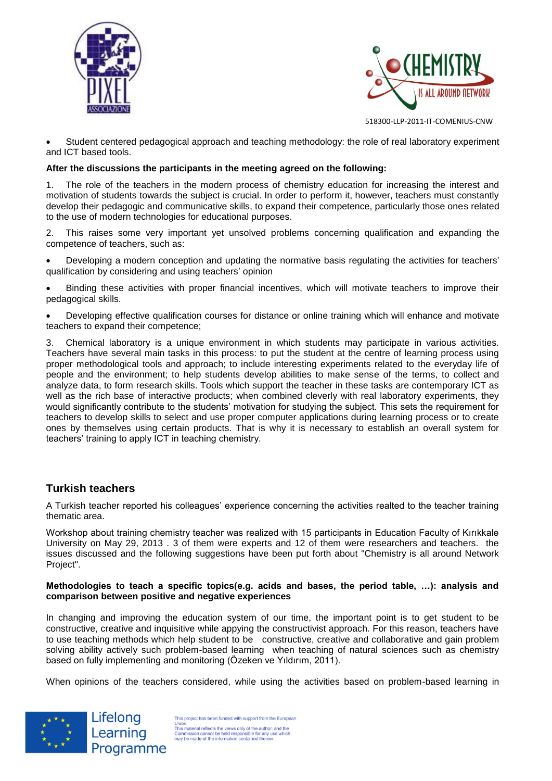



 Student centered pedagogical approach and teaching methodology: the role of real laboratory experiment and ICT based tools.

#### **After the discussions the participants in the meeting agreed on the following:**

1. The role of the teachers in the modern process of chemistry education for increasing the interest and motivation of students towards the subject is crucial. In order to perform it, however, teachers must constantly develop their pedagogic and communicative skills, to expand their competence, particularly those ones related to the use of modern technologies for educational purposes.

2. This raises some very important yet unsolved problems concerning qualification and expanding the competence of teachers, such as:

 Developing a modern conception and updating the normative basis regulating the activities for teachers' qualification by considering and using teachers' opinion

 Binding these activities with proper financial incentives, which will motivate teachers to improve their pedagogical skills.

 Developing effective qualification courses for distance or online training which will enhance and motivate teachers to expand their competence;

3. Chemical laboratory is a unique environment in which students may participate in various activities. Teachers have several main tasks in this process: to put the student at the centre of learning process using proper methodological tools and approach; to include interesting experiments related to the everyday life of people and the environment; to help students develop abilities to make sense of the terms, to collect and analyze data, to form research skills. Tools which support the teacher in these tasks are contemporary ICT as well as the rich base of interactive products; when combined cleverly with real laboratory experiments, they would significantly contribute to the students' motivation for studying the subject. This sets the requirement for teachers to develop skills to select and use proper computer applications during learning process or to create ones by themselves using certain products. That is why it is necessary to establish an overall system for teachers' training to apply ICT in teaching chemistry.

### **Turkish teachers**

A Turkish teacher reported his colleagues' experience concerning the activities realted to the teacher training thematic area.

Workshop about training chemistry teacher was realized with 15 participants in Education Faculty of Kırıkkale University on May 29, 2013 . 3 of them were experts and 12 of them were researchers and teachers. the issues discussed and the following suggestions have been put forth about "Chemistry is all around Network Project".

#### **Methodologies to teach a specific topics(e.g. acids and bases, the period table, …): analysis and comparison between positive and negative experiences**

In changing and improving the education system of our time, the important point is to get student to be constructive, creative and inquisitive while appying the constructivist approach. For this reason, teachers have to use teaching methods which help student to be constructive, creative and collaborative and gain problem solving ability actively such problem-based learning when teaching of natural sciences such as chemistry based on fully implementing and monitoring (Özeken ve Yıldırım, 2011).

When opinions of the teachers considered, while using the activities based on problem-based learning in



Lifelong Learning Programme

This project has been funded with support from the Europ Union.<br>This material reflects the views only of the author, and the<br>Commission cannot be held responsible for any use which<br>may be made of the information contained therein.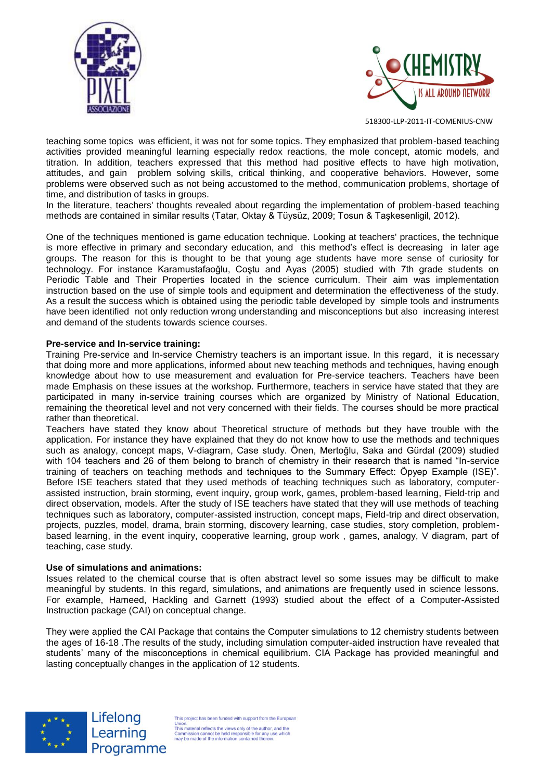



teaching some topics was efficient, it was not for some topics. They emphasized that problem-based teaching activities provided meaningful learning especially redox reactions, the mole concept, atomic models, and titration. In addition, teachers expressed that this method had positive effects to have high motivation, attitudes, and gain problem solving skills, critical thinking, and cooperative behaviors. However, some problems were observed such as not being accustomed to the method, communication problems, shortage of time, and distribution of tasks in groups.

In the literature, teachers' thoughts revealed about regarding the implementation of problem-based teaching methods are contained in similar results (Tatar, Oktay & Tüysüz, 2009; Tosun & Taşkesenligil, 2012).

One of the techniques mentioned is game education technique. Looking at teachers' practices, the technique is more effective in primary and secondary education, and this method's effect is decreasing in later age groups. The reason for this is thought to be that young age students have more sense of curiosity for technology. For instance Karamustafaoğlu, Coştu and Ayas (2005) studied with 7th grade students on Periodic Table and Their Properties located in the science curriculum. Their aim was implementation instruction based on the use of simple tools and equipment and determination the effectiveness of the study. As a result the success which is obtained using the periodic table developed by simple tools and instruments have been identified not only reduction wrong understanding and misconceptions but also increasing interest and demand of the students towards science courses.

#### **Pre-service and In-service training:**

Training Pre-service and In-service Chemistry teachers is an important issue. In this regard, it is necessary that doing more and more applications, informed about new teaching methods and techniques, having enough knowledge about how to use measurement and evaluation for Pre-service teachers. Teachers have been made Emphasis on these issues at the workshop. Furthermore, teachers in service have stated that they are participated in many in-service training courses which are organized by Ministry of National Education, remaining the theoretical level and not very concerned with their fields. The courses should be more practical rather than theoretical.

Teachers have stated they know about Theoretical structure of methods but they have trouble with the application. For instance they have explained that they do not know how to use the methods and techniques such as analogy, concept maps, V-diagram, Case study. Önen, Mertoğlu, Saka and Gürdal (2009) studied with 104 teachers and 26 of them belong to branch of chemistry in their research that is named "In-service training of teachers on teaching methods and techniques to the Summary Effect: Öpyep Example (ISE)". Before ISE teachers stated that they used methods of teaching techniques such as laboratory, computerassisted instruction, brain storming, event inquiry, group work, games, problem-based learning, Field-trip and direct observation, models. After the study of ISE teachers have stated that they will use methods of teaching techniques such as laboratory, computer-assisted instruction, concept maps, Field-trip and direct observation, projects, puzzles, model, drama, brain storming, discovery learning, case studies, story completion, problembased learning, in the event inquiry, cooperative learning, group work , games, analogy, V diagram, part of teaching, case study.

#### **Use of simulations and animations:**

Issues related to the chemical course that is often abstract level so some issues may be difficult to make meaningful by students. In this regard, simulations, and animations are frequently used in science lessons. For example, Hameed, Hackling and Garnett (1993) studied about the effect of a Computer-Assisted Instruction package (CAI) on conceptual change.

They were applied the CAI Package that contains the Computer simulations to 12 chemistry students between the ages of 16-18 .The results of the study, including simulation computer-aided instruction have revealed that students' many of the misconceptions in chemical equilibrium. CIA Package has provided meaningful and lasting conceptually changes in the application of 12 students.



Lifelong Learning Programme

is project has been funded with support from the Europe Union.<br>This material reflects the views only of the author, and the<br>Commission cannot be held responsible for any use which<br>may be made of the information contained therein.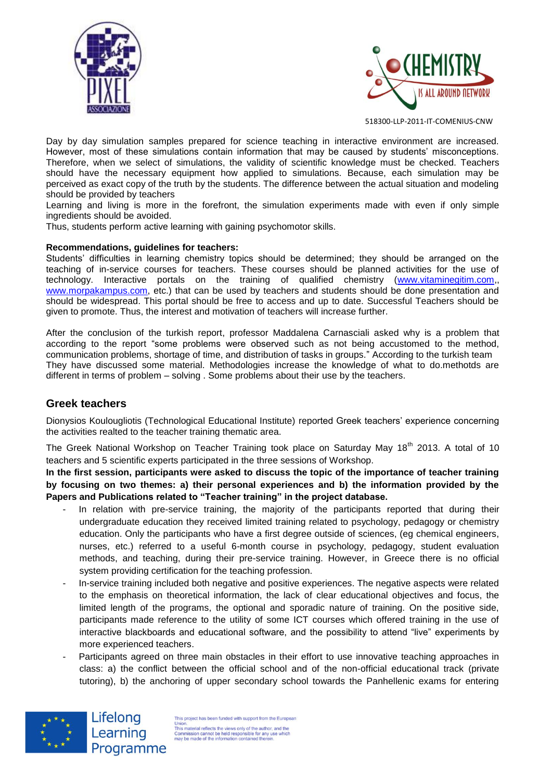



Day by day simulation samples prepared for science teaching in interactive environment are increased. However, most of these simulations contain information that may be caused by students' misconceptions. Therefore, when we select of simulations, the validity of scientific knowledge must be checked. Teachers should have the necessary equipment how applied to simulations. Because, each simulation may be perceived as exact copy of the truth by the students. The difference between the actual situation and modeling should be provided by teachers

Learning and living is more in the forefront, the simulation experiments made with even if only simple ingredients should be avoided.

Thus, students perform active learning with gaining psychomotor skills.

#### **Recommendations, guidelines for teachers:**

Students' difficulties in learning chemistry topics should be determined; they should be arranged on the teaching of in-service courses for teachers. These courses should be planned activities for the use of technology. Interactive portals on the training of qualified chemistry [\(www.vitaminegitim.com,](http://www.vitaminegitim.com/), [www.morpakampus.com,](http://www.morpakampus.com/) etc.) that can be used by teachers and students should be done presentation and should be widespread. This portal should be free to access and up to date. Successful Teachers should be given to promote. Thus, the interest and motivation of teachers will increase further.

After the conclusion of the turkish report, professor Maddalena Carnasciali asked why is a problem that according to the report "some problems were observed such as not being accustomed to the method, communication problems, shortage of time, and distribution of tasks in groups." According to the turkish team They have discussed some material. Methodologies increase the knowledge of what to do.methotds are different in terms of problem – solving . Some problems about their use by the teachers.

### **Greek teachers**

Dionysios Koulougliotis (Technological Educational Institute) reported Greek teachers' experience concerning the activities realted to the teacher training thematic area.

The Greek National Workshop on Teacher Training took place on Saturday May 18<sup>th</sup> 2013. A total of 10 teachers and 5 scientific experts participated in the three sessions of Workshop.

**In the first session, participants were asked to discuss the topic of the importance of teacher training by focusing on two themes: a) their personal experiences and b) the information provided by the Papers and Publications related to "Teacher training" in the project database.**

- In relation with pre-service training, the majority of the participants reported that during their undergraduate education they received limited training related to psychology, pedagogy or chemistry education. Only the participants who have a first degree outside of sciences, (eg chemical engineers, nurses, etc.) referred to a useful 6-month course in psychology, pedagogy, student evaluation methods, and teaching, during their pre-service training. However, in Greece there is no official system providing certification for the teaching profession.
- In-service training included both negative and positive experiences. The negative aspects were related to the emphasis on theoretical information, the lack of clear educational objectives and focus, the limited length of the programs, the optional and sporadic nature of training. On the positive side, participants made reference to the utility of some ICT courses which offered training in the use of interactive blackboards and educational software, and the possibility to attend "live" experiments by more experienced teachers.
- Participants agreed on three main obstacles in their effort to use innovative teaching approaches in class: a) the conflict between the official school and of the non-official educational track (private tutoring), b) the anchoring of upper secondary school towards the Panhellenic exams for entering



Lifelong Learning Programme

This project has been funded with support from the European Union.<br>This material reflects the views only of the author, and the<br>Commission cannot be held responsible for any use which<br>may be made of the information contained therein.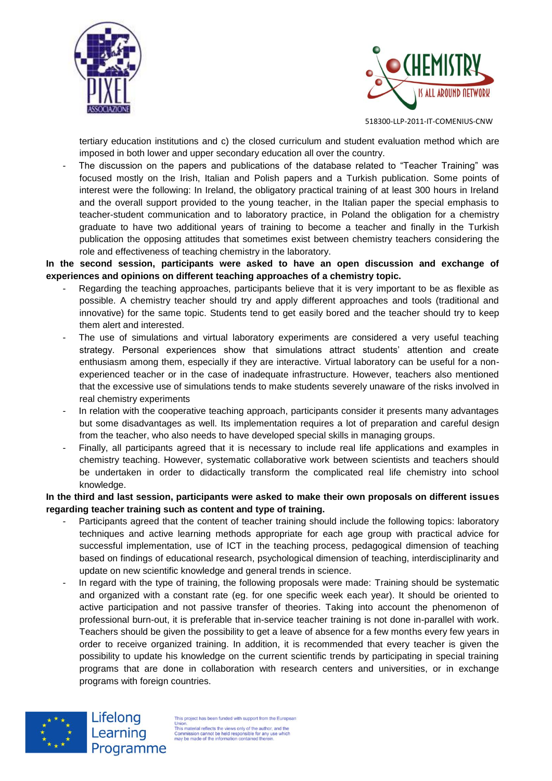



tertiary education institutions and c) the closed curriculum and student evaluation method which are imposed in both lower and upper secondary education all over the country.

The discussion on the papers and publications of the database related to "Teacher Training" was focused mostly on the Irish, Italian and Polish papers and a Turkish publication. Some points of interest were the following: In Ireland, the obligatory practical training of at least 300 hours in Ireland and the overall support provided to the young teacher, in the Italian paper the special emphasis to teacher-student communication and to laboratory practice, in Poland the obligation for a chemistry graduate to have two additional years of training to become a teacher and finally in the Turkish publication the opposing attitudes that sometimes exist between chemistry teachers considering the role and effectiveness of teaching chemistry in the laboratory.

**In the second session, participants were asked to have an open discussion and exchange of experiences and opinions on different teaching approaches of a chemistry topic.**

- Regarding the teaching approaches, participants believe that it is very important to be as flexible as possible. A chemistry teacher should try and apply different approaches and tools (traditional and innovative) for the same topic. Students tend to get easily bored and the teacher should try to keep them alert and interested.
- The use of simulations and virtual laboratory experiments are considered a very useful teaching strategy. Personal experiences show that simulations attract students' attention and create enthusiasm among them, especially if they are interactive. Virtual laboratory can be useful for a nonexperienced teacher or in the case of inadequate infrastructure. However, teachers also mentioned that the excessive use of simulations tends to make students severely unaware of the risks involved in real chemistry experiments
- In relation with the cooperative teaching approach, participants consider it presents many advantages but some disadvantages as well. Its implementation requires a lot of preparation and careful design from the teacher, who also needs to have developed special skills in managing groups.
- Finally, all participants agreed that it is necessary to include real life applications and examples in chemistry teaching. However, systematic collaborative work between scientists and teachers should be undertaken in order to didactically transform the complicated real life chemistry into school knowledge.

**In the third and last session, participants were asked to make their own proposals on different issues regarding teacher training such as content and type of training.** 

- Participants agreed that the content of teacher training should include the following topics: laboratory techniques and active learning methods appropriate for each age group with practical advice for successful implementation, use of ICT in the teaching process, pedagogical dimension of teaching based on findings of educational research, psychological dimension of teaching, interdisciplinarity and update on new scientific knowledge and general trends in science.
- In regard with the type of training, the following proposals were made: Training should be systematic and organized with a constant rate (eg. for one specific week each year). It should be oriented to active participation and not passive transfer of theories. Taking into account the phenomenon of professional burn-out, it is preferable that in-service teacher training is not done in-parallel with work. Teachers should be given the possibility to get a leave of absence for a few months every few years in order to receive organized training. In addition, it is recommended that every teacher is given the possibility to update his knowledge on the current scientific trends by participating in special training programs that are done in collaboration with research centers and universities, or in exchange programs with foreign countries.



Lifelong Learning Programme

This project has been funded with support from the Europ Union.<br>This material reflects the views only of the author, and the<br>Commission cannot be held responsible for any use which<br>may be made of the information contained therein.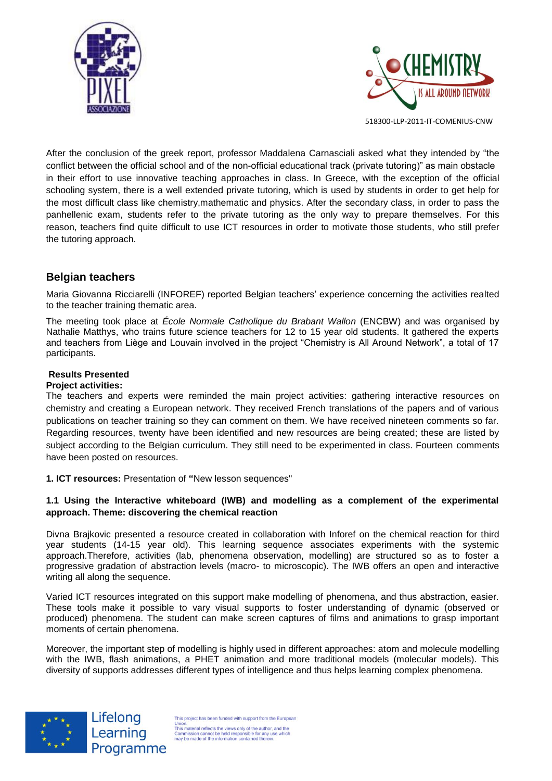



After the conclusion of the greek report, professor Maddalena Carnasciali asked what they intended by "the conflict between the official school and of the non-official educational track (private tutoring)" as main obstacle in their effort to use innovative teaching approaches in class. In Greece, with the exception of the official schooling system, there is a well extended private tutoring, which is used by students in order to get help for the most difficult class like chemistry,mathematic and physics. After the secondary class, in order to pass the panhellenic exam, students refer to the private tutoring as the only way to prepare themselves. For this reason, teachers find quite difficult to use ICT resources in order to motivate those students, who still prefer the tutoring approach.

### **Belgian teachers**

Maria Giovanna Ricciarelli (INFOREF) reported Belgian teachers' experience concerning the activities realted to the teacher training thematic area.

The meeting took place at *École Normale Catholique du Brabant Wallon* (ENCBW) and was organised by Nathalie Matthys, who trains future science teachers for 12 to 15 year old students. It gathered the experts and teachers from Liège and Louvain involved in the project "Chemistry is All Around Network", a total of 17 participants.

### **Results Presented**

#### **Project activities:**

The teachers and experts were reminded the main project activities: gathering interactive resources on chemistry and creating a European network. They received French translations of the papers and of various publications on teacher training so they can comment on them. We have received nineteen comments so far. Regarding resources, twenty have been identified and new resources are being created; these are listed by subject according to the Belgian curriculum. They still need to be experimented in class. Fourteen comments have been posted on resources.

**1. ICT resources:** Presentation of **"**New lesson sequences"

#### **1.1 Using the Interactive whiteboard (IWB) and modelling as a complement of the experimental approach. Theme: discovering the chemical reaction**

Divna Brajkovic presented a resource created in collaboration with Inforef on the chemical reaction for third year students (14-15 year old). This learning sequence associates experiments with the systemic approach.Therefore, activities (lab, phenomena observation, modelling) are structured so as to foster a progressive gradation of abstraction levels (macro- to microscopic). The IWB offers an open and interactive writing all along the sequence.

Varied ICT resources integrated on this support make modelling of phenomena, and thus abstraction, easier. These tools make it possible to vary visual supports to foster understanding of dynamic (observed or produced) phenomena. The student can make screen captures of films and animations to grasp important moments of certain phenomena.

Moreover, the important step of modelling is highly used in different approaches: atom and molecule modelling with the IWB, flash animations, a PHET animation and more traditional models (molecular models). This diversity of supports addresses different types of intelligence and thus helps learning complex phenomena.



Lifelong Learning Programme

This project has been funded with support from the Europe This project nas been inneed with support nomine complete.<br>This material reflects the views only of the author, and the This material reflects the views only of the authority commission cannot be held responsible for any u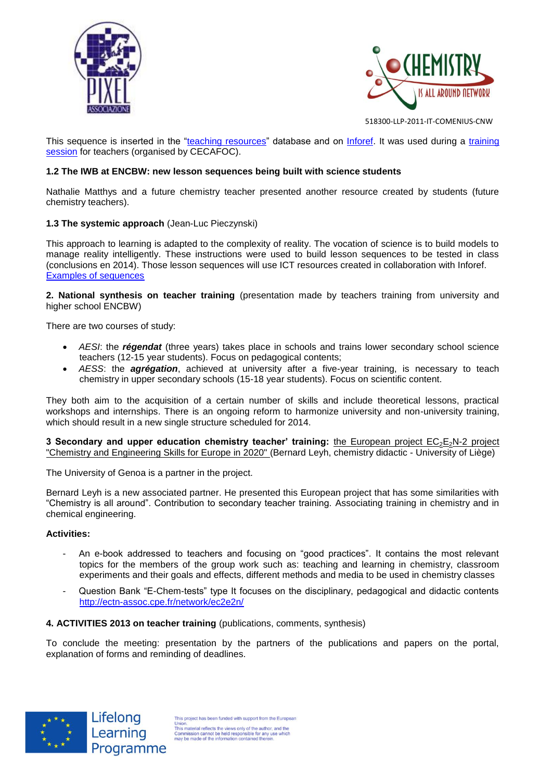



This sequence is inserted in the ["teaching resources"](http://chemistrynetwork.pixel-online.org/TRS_scheda.php?art_id=248&lck=&top=&pep=&sua=&tgl=<r=4&q=) database and on [Inforef.](http://inforef.be/exterieurs/divna/sequences_cours_brajkovic.htm) It was used during a training [session](http://inforef.be/pages/news_afficher.php?id_news=25) for teachers (organised by CECAFOC).

#### **1.2 The IWB at ENCBW: new lesson sequences being built with science students**

Nathalie Matthys and a future chemistry teacher presented another resource created by students (future chemistry teachers).

#### **1.3 The systemic approach** (Jean-Luc Pieczynski)

This approach to learning is adapted to the complexity of reality. The vocation of science is to build models to manage reality intelligently. These instructions were used to build lesson sequences to be tested in class (conclusions en 2014). Those lesson sequences will use ICT resources created in collaboration with Inforef. [Examples of sequences](http://inforef.be/exterieurs/divna/PISTES_POUR_OPTIMISERv4.pdf)

**2. National synthesis on teacher training** (presentation made by teachers training from university and higher school ENCBW)

There are two courses of study:

- *AESI*: the *régendat* (three years) takes place in schools and trains lower secondary school science teachers (12-15 year students). Focus on pedagogical contents;
- *AESS*: the *agrégation*, achieved at university after a five-year training, is necessary to teach chemistry in upper secondary schools (15-18 year students). Focus on scientific content.

They both aim to the acquisition of a certain number of skills and include theoretical lessons, practical workshops and internships. There is an ongoing reform to harmonize university and non-university training, which should result in a new single structure scheduled for 2014.

**3 Secondary and upper education chemistry teacher' training:** the European project EC<sub>2</sub>E<sub>2</sub>N-2 project "Chemistry and Engineering Skills for Europe in 2020" (Bernard Leyh, chemistry didactic - University of Liège)

The University of Genoa is a partner in the project.

Bernard Leyh is a new associated partner. He presented this European project that has some similarities with "Chemistry is all around". Contribution to secondary teacher training. Associating training in chemistry and in chemical engineering.

#### **Activities:**

- An e-book addressed to teachers and focusing on "good practices". It contains the most relevant topics for the members of the group work such as: teaching and learning in chemistry, classroom experiments and their goals and effects, different methods and media to be used in chemistry classes
- Question Bank "E-Chem-tests" type It focuses on the disciplinary, pedagogical and didactic contents <http://ectn-assoc.cpe.fr/network/ec2e2n/>

#### **4. ACTIVITIES 2013 on teacher training** (publications, comments, synthesis)

To conclude the meeting: presentation by the partners of the publications and papers on the portal, explanation of forms and reminding of deadlines.

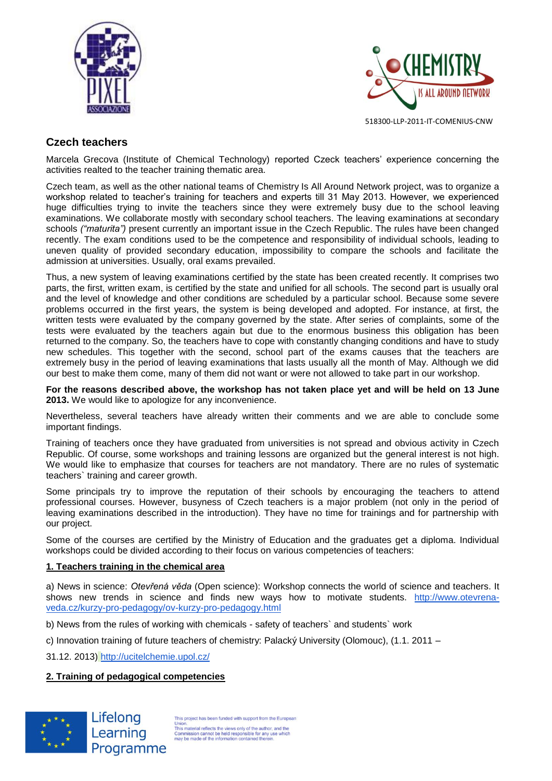



# **Czech teachers**

Marcela Grecova (Institute of Chemical Technology) reported Czeck teachers' experience concerning the activities realted to the teacher training thematic area.

Czech team, as well as the other national teams of Chemistry Is All Around Network project, was to organize a workshop related to teacher's training for teachers and experts till 31 May 2013. However, we experienced huge difficulties trying to invite the teachers since they were extremely busy due to the school leaving examinations. We collaborate mostly with secondary school teachers. The leaving examinations at secondary schools *("maturita")* present currently an important issue in the Czech Republic. The rules have been changed recently. The exam conditions used to be the competence and responsibility of individual schools, leading to uneven quality of provided secondary education, impossibility to compare the schools and facilitate the admission at universities. Usually, oral exams prevailed.

Thus, a new system of leaving examinations certified by the state has been created recently. It comprises two parts, the first, written exam, is certified by the state and unified for all schools. The second part is usually oral and the level of knowledge and other conditions are scheduled by a particular school. Because some severe problems occurred in the first years, the system is being developed and adopted. For instance, at first, the written tests were evaluated by the company governed by the state. After series of complaints, some of the tests were evaluated by the teachers again but due to the enormous business this obligation has been returned to the company. So, the teachers have to cope with constantly changing conditions and have to study new schedules. This together with the second, school part of the exams causes that the teachers are extremely busy in the period of leaving examinations that lasts usually all the month of May. Although we did our best to make them come, many of them did not want or were not allowed to take part in our workshop.

**For the reasons described above, the workshop has not taken place yet and will be held on 13 June 2013.** We would like to apologize for any inconvenience.

Nevertheless, several teachers have already written their comments and we are able to conclude some important findings.

Training of teachers once they have graduated from universities is not spread and obvious activity in Czech Republic. Of course, some workshops and training lessons are organized but the general interest is not high. We would like to emphasize that courses for teachers are not mandatory. There are no rules of systematic teachers` training and career growth.

Some principals try to improve the reputation of their schools by encouraging the teachers to attend professional courses. However, busyness of Czech teachers is a major problem (not only in the period of leaving examinations described in the introduction). They have no time for trainings and for partnership with our project.

Some of the courses are certified by the Ministry of Education and the graduates get a diploma. Individual workshops could be divided according to their focus on various competencies of teachers:

#### **1. Teachers training in the chemical area**

a) News in science: *Otevřená věda* (Open science): Workshop connects the world of science and teachers. It shows new trends in science and finds new ways how to motivate students. [http://www.otevrena](http://www.otevrena-veda.cz/kurzy-pro-pedagogy/ov-kurzy-pro-pedagogy.html)[veda.cz/kurzy-pro-pedagogy/ov-kurzy-pro-pedagogy.html](http://www.otevrena-veda.cz/kurzy-pro-pedagogy/ov-kurzy-pro-pedagogy.html)

b) News from the rules of working with chemicals - safety of teachers` and students` work

c) Innovation training of future teachers of chemistry: Palacký University (Olomouc), (1.1. 2011 –

31.12. 2013) <http://ucitelchemie.upol.cz/>

#### **2. Training of pedagogical competencies**



This project has been funded with support from the Europear Union.<br>This material reflects the views only of the author, and the<br>Commission cannot be held responsible for any use which<br>may be made of the information contained therein.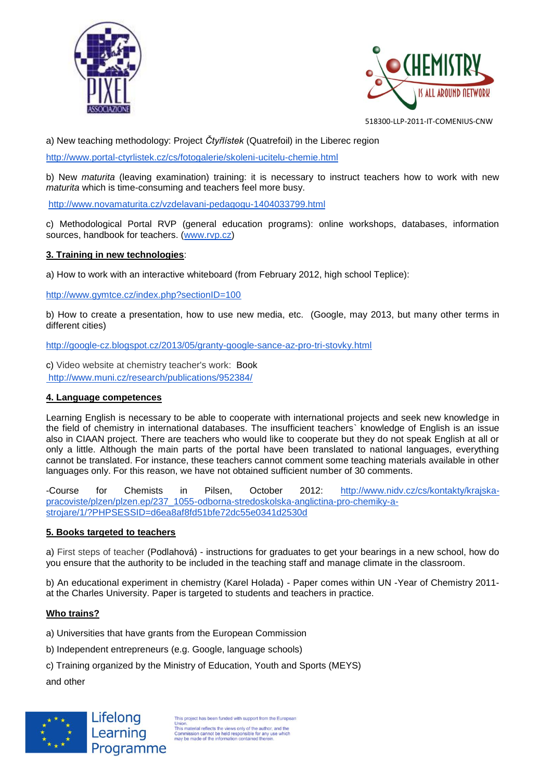



a) New teaching methodology: Project *Čtyřlístek* (Quatrefoil) in the Liberec region

<http://www.portal-ctyrlistek.cz/cs/fotogalerie/skoleni-ucitelu-chemie.html>

b) New *maturita* (leaving examination) training: it is necessary to instruct teachers how to work with new *maturita* which is time-consuming and teachers feel more busy.

<http://www.novamaturita.cz/vzdelavani-pedagogu-1404033799.html>

c) Methodological Portal RVP (general education programs): online workshops, databases, information sources, handbook for teachers. [\(www.rvp.cz\)](http://www.rvp.cz/)

### **3. Training in new technologies**:

a) How to work with an interactive whiteboard (from February 2012, high school Teplice):

<http://www.gymtce.cz/index.php?sectionID=100>

b) How to create a presentation, how to use new media, etc. (Google, may 2013, but many other terms in different cities)

<http://google-cz.blogspot.cz/2013/05/granty-google-sance-az-pro-tri-stovky.html>

c) Video website at chemistry teacher's work: Book <http://www.muni.cz/research/publications/952384/>

#### **4. Language competences**

Learning English is necessary to be able to cooperate with international projects and seek new knowledge in the field of chemistry in international databases. The insufficient teachers` knowledge of English is an issue also in CIAAN project. There are teachers who would like to cooperate but they do not speak English at all or only a little. Although the main parts of the portal have been translated to national languages, everything cannot be translated. For instance, these teachers cannot comment some teaching materials available in other languages only. For this reason, we have not obtained sufficient number of 30 comments.

-Course for Chemists in Pilsen, October 2012: [http://www.nidv.cz/cs/kontakty/krajska](http://www.nidv.cz/cs/kontakty/krajska-pracoviste/plzen/plzen.ep/237_1055-odborna-stredoskolska-anglictina-pro-chemiky-a-strojare/1/?PHPSESSID=d6ea8af8fd51bfe72dc55e0341d2530d)[pracoviste/plzen/plzen.ep/237\\_1055-odborna-stredoskolska-anglictina-pro-chemiky-a](http://www.nidv.cz/cs/kontakty/krajska-pracoviste/plzen/plzen.ep/237_1055-odborna-stredoskolska-anglictina-pro-chemiky-a-strojare/1/?PHPSESSID=d6ea8af8fd51bfe72dc55e0341d2530d)[strojare/1/?PHPSESSID=d6ea8af8fd51bfe72dc55e0341d2530d](http://www.nidv.cz/cs/kontakty/krajska-pracoviste/plzen/plzen.ep/237_1055-odborna-stredoskolska-anglictina-pro-chemiky-a-strojare/1/?PHPSESSID=d6ea8af8fd51bfe72dc55e0341d2530d)

#### **5. Books targeted to teachers**

a) First steps of teacher (Podlahová) - instructions for graduates to get your bearings in a new school, how do you ensure that the authority to be included in the teaching staff and manage climate in the classroom.

b) An educational experiment in chemistry (Karel Holada) - Paper comes within UN -Year of Chemistry 2011 at the Charles University. Paper is targeted to students and teachers in practice.

### **Who trains?**

- a) Universities that have grants from the European Commission
- b) Independent entrepreneurs (e.g. Google, language schools)
- c) Training organized by the Ministry of Education, Youth and Sports (MEYS)

and other



is project has been funded with support from the Europear Union.<br>This material reflects the views only of the author, and the<br>Commission cannot be held responsible for any use which<br>may be made of the information contained therein.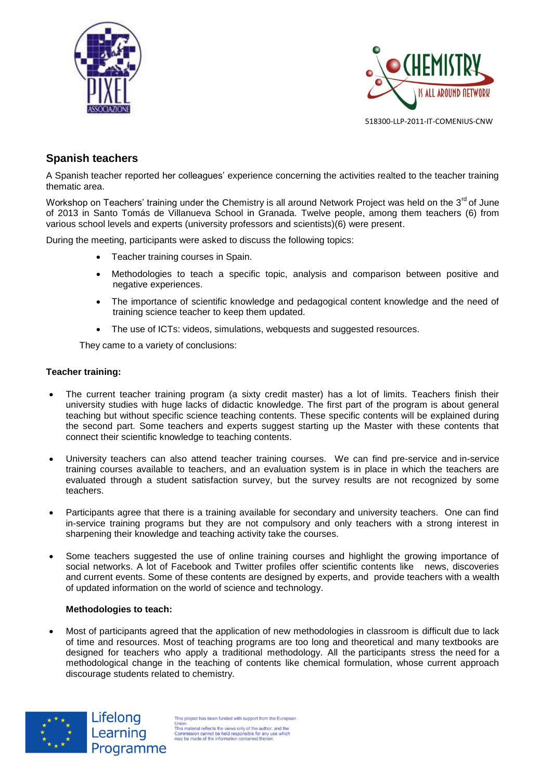



# **Spanish teachers**

A Spanish teacher reported her colleagues' experience concerning the activities realted to the teacher training thematic area.

Workshop on Teachers' training under the Chemistry is all around Network Project was held on the 3<sup>rd</sup> of June of 2013 in Santo Tomás de Villanueva School in Granada. Twelve people, among them teachers (6) from various school levels and experts (university professors and scientists)(6) were present.

During the meeting, participants were asked to discuss the following topics:

- Teacher training courses in Spain.
- Methodologies to teach a specific topic, analysis and comparison between positive and negative experiences.
- The importance of scientific knowledge and pedagogical content knowledge and the need of training science teacher to keep them updated.
- The use of ICTs: videos, simulations, webquests and suggested resources.

They came to a variety of conclusions:

#### **Teacher training:**

- The current teacher training program (a sixty credit master) has a lot of limits. Teachers finish their university studies with huge lacks of didactic knowledge. The first part of the program is about general teaching but without specific science teaching contents. These specific contents will be explained during the second part. Some teachers and experts suggest starting up the Master with these contents that connect their scientific knowledge to teaching contents.
- University teachers can also attend teacher training courses. We can find pre-service and in-service training courses available to teachers, and an evaluation system is in place in which the teachers are evaluated through a student satisfaction survey, but the survey results are not recognized by some teachers.
- Participants agree that there is a training available for secondary and university teachers. One can find in-service training programs but they are not compulsory and only teachers with a strong interest in sharpening their knowledge and teaching activity take the courses.
- Some teachers suggested the use of online training courses and highlight the growing importance of social networks. A lot of Facebook and Twitter profiles offer scientific contents like news, discoveries and current events. Some of these contents are designed by experts, and provide teachers with a wealth of updated information on the world of science and technology.

#### **Methodologies to teach:**

Lifelong

Learning

 Most of participants agreed that the application of new methodologies in classroom is difficult due to lack of time and resources. Most of teaching programs are too long and theoretical and many textbooks are designed for teachers who apply a traditional methodology. All the participants stress the need for a methodological change in the teaching of contents like chemical formulation, whose current approach discourage students related to chemistry.

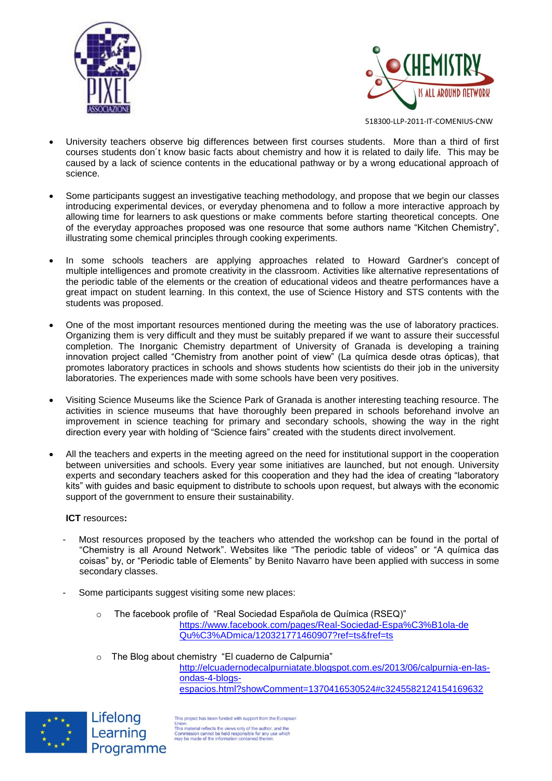



- University teachers observe big differences between first courses students. More than a third of first courses students don´t know basic facts about chemistry and how it is related to daily life. This may be caused by a lack of science contents in the educational pathway or by a wrong educational approach of science.
- Some participants suggest an investigative teaching methodology, and propose that we begin our classes introducing experimental devices, or everyday phenomena and to follow a more interactive approach by allowing time for learners to ask questions or make comments before starting theoretical concepts. One of the everyday approaches proposed was one resource that some authors name "Kitchen Chemistry", illustrating some chemical principles through cooking experiments.
- In some schools teachers are applying approaches related to Howard Gardner's concept of multiple intelligences and promote creativity in the classroom. Activities like alternative representations of the periodic table of the elements or the creation of educational videos and theatre performances have a great impact on student learning. In this context, the use of Science History and STS contents with the students was proposed.
- One of the most important resources mentioned during the meeting was the use of laboratory practices. Organizing them is very difficult and they must be suitably prepared if we want to assure their successful completion. The Inorganic Chemistry department of University of Granada is developing a training innovation project called "Chemistry from another point of view" (La química desde otras ópticas), that promotes laboratory practices in schools and shows students how scientists do their job in the university laboratories. The experiences made with some schools have been very positives.
- Visiting Science Museums like the Science Park of Granada is another interesting teaching resource. The activities in science museums that have thoroughly been prepared in schools beforehand involve an improvement in science teaching for primary and secondary schools, showing the way in the right direction every year with holding of "Science fairs" created with the students direct involvement.
- All the teachers and experts in the meeting agreed on the need for institutional support in the cooperation between universities and schools. Every year some initiatives are launched, but not enough. University experts and secondary teachers asked for this cooperation and they had the idea of creating "laboratory kits" with guides and basic equipment to distribute to schools upon request, but always with the economic support of the government to ensure their sustainability.

#### **ICT** resources**:**

Lifelong

Learning

Programme

- Most resources proposed by the teachers who attended the workshop can be found in the portal of "Chemistry is all Around Network". Websites like "The periodic table of videos" or "A química das coisas" by, or "Periodic table of Elements" by Benito Navarro have been applied with success in some secondary classes.
- Some participants suggest visiting some new places:
	- o The facebook profile of "Real Sociedad Española de Química (RSEQ)" [https://www.facebook.com/pages/Real-Sociedad-Espa%C3%B1ola-de](https://www.facebook.com/pages/Real-Sociedad-Espa%C3%B1ola-de%20Qu%C3%ADmica/120321771460907?ref=ts&fref=ts)  [Qu%C3%ADmica/120321771460907?ref=ts&fref=ts](https://www.facebook.com/pages/Real-Sociedad-Espa%C3%B1ola-de%20Qu%C3%ADmica/120321771460907?ref=ts&fref=ts)
	- o The Blog about chemistry "El cuaderno de Calpurnia"

[http://elcuadernodecalpurniatate.blogspot.com.es/2013/06/calpurnia-en-las](http://elcuadernodecalpurniatate.blogspot.com.es/2013/06/calpurnia-en-las-ondas-4-blogs-espacios.html?showComment=1370416530524#c3245582124154169632)[ondas-4-blogs](http://elcuadernodecalpurniatate.blogspot.com.es/2013/06/calpurnia-en-las-ondas-4-blogs-espacios.html?showComment=1370416530524#c3245582124154169632)[espacios.html?showComment=1370416530524#c3245582124154169632](http://elcuadernodecalpurniatate.blogspot.com.es/2013/06/calpurnia-en-las-ondas-4-blogs-espacios.html?showComment=1370416530524#c3245582124154169632)



This project has been funded with support from the European onion.<br>This material reflects the views only of the author, and the<br>Commission cannot be held responsible for any use which<br>may be made of the information contained therein.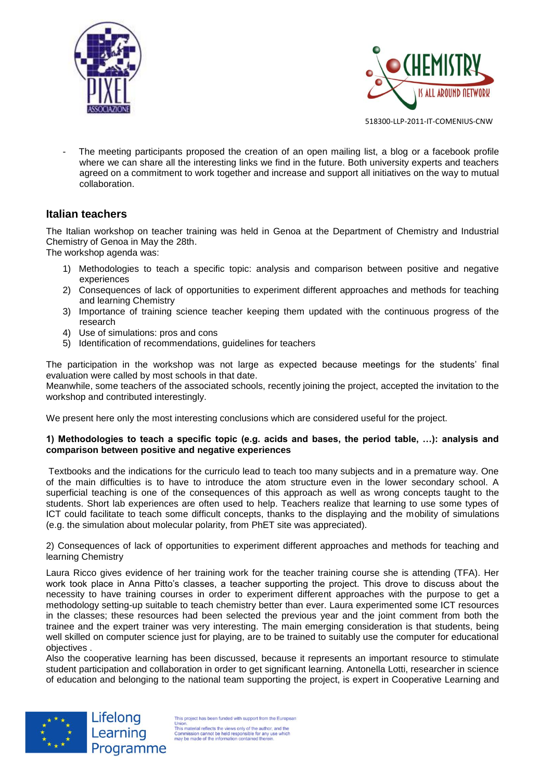



The meeting participants proposed the creation of an open mailing list, a blog or a facebook profile where we can share all the interesting links we find in the future. Both university experts and teachers agreed on a commitment to work together and increase and support all initiatives on the way to mutual collaboration.

### **Italian teachers**

The Italian workshop on teacher training was held in Genoa at the Department of Chemistry and Industrial Chemistry of Genoa in May the 28th.

The workshop agenda was:

- 1) Methodologies to teach a specific topic: analysis and comparison between positive and negative experiences
- 2) Consequences of lack of opportunities to experiment different approaches and methods for teaching and learning Chemistry
- 3) Importance of training science teacher keeping them updated with the continuous progress of the research
- 4) Use of simulations: pros and cons
- 5) Identification of recommendations, guidelines for teachers

The participation in the workshop was not large as expected because meetings for the students' final evaluation were called by most schools in that date.

Meanwhile, some teachers of the associated schools, recently joining the project, accepted the invitation to the workshop and contributed interestingly.

We present here only the most interesting conclusions which are considered useful for the project.

#### **1) Methodologies to teach a specific topic (e.g. acids and bases, the period table, …): analysis and comparison between positive and negative experiences**

Textbooks and the indications for the curriculo lead to teach too many subjects and in a premature way. One of the main difficulties is to have to introduce the atom structure even in the lower secondary school. A superficial teaching is one of the consequences of this approach as well as wrong concepts taught to the students. Short lab experiences are often used to help. Teachers realize that learning to use some types of ICT could facilitate to teach some difficult concepts, thanks to the displaying and the mobility of simulations (e.g. the simulation about molecular polarity, from PhET site was appreciated).

2) Consequences of lack of opportunities to experiment different approaches and methods for teaching and learning Chemistry

Laura Ricco gives evidence of her training work for the teacher training course she is attending (TFA). Her work took place in Anna Pitto's classes, a teacher supporting the project. This drove to discuss about the necessity to have training courses in order to experiment different approaches with the purpose to get a methodology setting-up suitable to teach chemistry better than ever. Laura experimented some ICT resources in the classes; these resources had been selected the previous year and the joint comment from both the trainee and the expert trainer was very interesting. The main emerging consideration is that students, being well skilled on computer science just for playing, are to be trained to suitably use the computer for educational objectives .

Also the cooperative learning has been discussed, because it represents an important resource to stimulate student participation and collaboration in order to get significant learning. Antonella Lotti, researcher in science of education and belonging to the national team supporting the project, is expert in Cooperative Learning and



Lifelong Learning Programme

This project has been funded with support from the European Union.<br>This material reflects the views only of the author, and the<br>Commission cannot be held responsible for any use which<br>may be made of the information contained therein.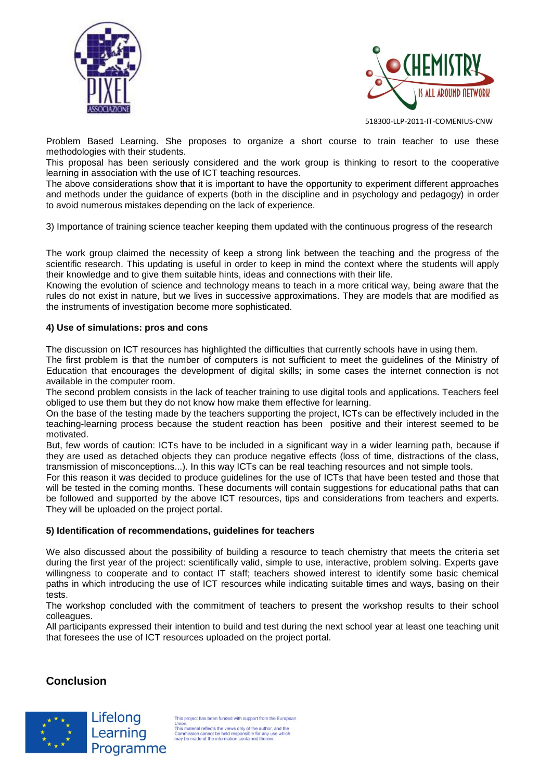



Problem Based Learning. She proposes to organize a short course to train teacher to use these methodologies with their students.

This proposal has been seriously considered and the work group is thinking to resort to the cooperative learning in association with the use of ICT teaching resources.

The above considerations show that it is important to have the opportunity to experiment different approaches and methods under the guidance of experts (both in the discipline and in psychology and pedagogy) in order to avoid numerous mistakes depending on the lack of experience.

3) Importance of training science teacher keeping them updated with the continuous progress of the research

The work group claimed the necessity of keep a strong link between the teaching and the progress of the scientific research. This updating is useful in order to keep in mind the context where the students will apply their knowledge and to give them suitable hints, ideas and connections with their life.

Knowing the evolution of science and technology means to teach in a more critical way, being aware that the rules do not exist in nature, but we lives in successive approximations. They are models that are modified as the instruments of investigation become more sophisticated.

#### **4) Use of simulations: pros and cons**

The discussion on ICT resources has highlighted the difficulties that currently schools have in using them.

The first problem is that the number of computers is not sufficient to meet the guidelines of the Ministry of Education that encourages the development of digital skills; in some cases the internet connection is not available in the computer room.

The second problem consists in the lack of teacher training to use digital tools and applications. Teachers feel obliged to use them but they do not know how make them effective for learning.

On the base of the testing made by the teachers supporting the project, ICTs can be effectively included in the teaching-learning process because the student reaction has been positive and their interest seemed to be motivated.

But, few words of caution: ICTs have to be included in a significant way in a wider learning path, because if they are used as detached objects they can produce negative effects (loss of time, distractions of the class, transmission of misconceptions...). In this way ICTs can be real teaching resources and not simple tools.

For this reason it was decided to produce guidelines for the use of ICTs that have been tested and those that will be tested in the coming months. These documents will contain suggestions for educational paths that can be followed and supported by the above ICT resources, tips and considerations from teachers and experts. They will be uploaded on the project portal.

#### **5) Identification of recommendations, guidelines for teachers**

We also discussed about the possibility of building a resource to teach chemistry that meets the criteria set during the first year of the project: scientifically valid, simple to use, interactive, problem solving. Experts gave willingness to cooperate and to contact IT staff; teachers showed interest to identify some basic chemical paths in which introducing the use of ICT resources while indicating suitable times and ways, basing on their tests.

The workshop concluded with the commitment of teachers to present the workshop results to their school colleagues.

All participants expressed their intention to build and test during the next school year at least one teaching unit that foresees the use of ICT resources uploaded on the project portal.

# **Conclusion**



Lifelong Learning Programme

is project has been funded with support from the Europ Union.<br>This material reflects the views only of the author, and the<br>Commission cannot be held responsible for any use which<br>may be made of the information contained therein.